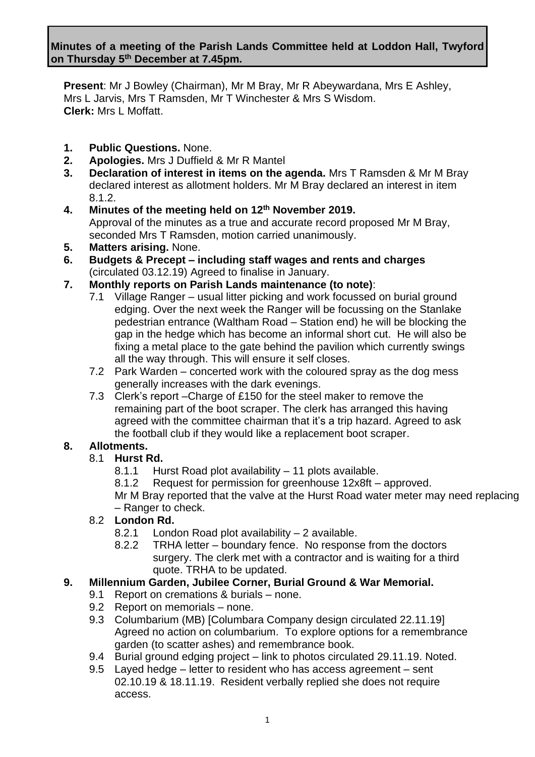**Present**: Mr J Bowley (Chairman), Mr M Bray, Mr R Abeywardana, Mrs E Ashley, Mrs L Jarvis, Mrs T Ramsden, Mr T Winchester & Mrs S Wisdom. **Clerk:** Mrs L Moffatt.

- **1. Public Questions.** None.
- **2. Apologies.** Mrs J Duffield & Mr R Mantel
- **3. Declaration of interest in items on the agenda.** Mrs T Ramsden & Mr M Bray declared interest as allotment holders. Mr M Bray declared an interest in item 8.1.2.
- **4. Minutes of the meeting held on 12th November 2019.** Approval of the minutes as a true and accurate record proposed Mr M Bray, seconded Mrs T Ramsden, motion carried unanimously.
- **5. Matters arising.** None.
- **6. Budgets & Precept – including staff wages and rents and charges** (circulated 03.12.19) Agreed to finalise in January.
- **7. Monthly reports on Parish Lands maintenance (to note)**:
	- 7.1 Village Ranger usual litter picking and work focussed on burial ground edging. Over the next week the Ranger will be focussing on the Stanlake pedestrian entrance (Waltham Road – Station end) he will be blocking the gap in the hedge which has become an informal short cut. He will also be fixing a metal place to the gate behind the pavilion which currently swings all the way through. This will ensure it self closes.
	- 7.2 Park Warden concerted work with the coloured spray as the dog mess generally increases with the dark evenings.
	- 7.3 Clerk's report –Charge of £150 for the steel maker to remove the remaining part of the boot scraper. The clerk has arranged this having agreed with the committee chairman that it's a trip hazard. Agreed to ask the football club if they would like a replacement boot scraper.

# **8. Allotments.**

### 8.1 **Hurst Rd.**

- 8.1.1 Hurst Road plot availability 11 plots available.
- 8.1.2 Request for permission for greenhouse 12x8ft approved.

Mr M Bray reported that the valve at the Hurst Road water meter may need replacing – Ranger to check.

#### 8.2 **London Rd.**

- 8.2.1 London Road plot availability 2 available.
- 8.2.2 TRHA letter boundary fence. No response from the doctors surgery. The clerk met with a contractor and is waiting for a third quote. TRHA to be updated.

### **9. Millennium Garden, Jubilee Corner, Burial Ground & War Memorial.**

- 9.1 Report on cremations & burials none.
- 9.2 Report on memorials none.
- 9.3 Columbarium (MB) [Columbara Company design circulated 22.11.19] Agreed no action on columbarium. To explore options for a remembrance garden (to scatter ashes) and remembrance book.
- 9.4 Burial ground edging project link to photos circulated 29.11.19. Noted.
- 9.5 Layed hedge letter to resident who has access agreement sent 02.10.19 & 18.11.19. Resident verbally replied she does not require access.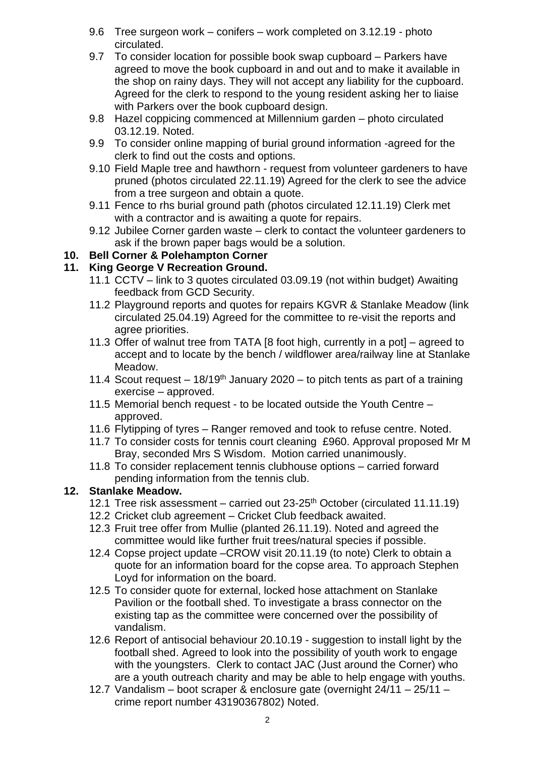- 9.6 Tree surgeon work conifers work completed on 3.12.19 photo circulated.
- 9.7 To consider location for possible book swap cupboard Parkers have agreed to move the book cupboard in and out and to make it available in the shop on rainy days. They will not accept any liability for the cupboard. Agreed for the clerk to respond to the young resident asking her to liaise with Parkers over the book cupboard design.
- 9.8 Hazel coppicing commenced at Millennium garden photo circulated 03.12.19. Noted.
- 9.9 To consider online mapping of burial ground information -agreed for the clerk to find out the costs and options.
- 9.10 Field Maple tree and hawthorn request from volunteer gardeners to have pruned (photos circulated 22.11.19) Agreed for the clerk to see the advice from a tree surgeon and obtain a quote.
- 9.11 Fence to rhs burial ground path (photos circulated 12.11.19) Clerk met with a contractor and is awaiting a quote for repairs.
- 9.12 Jubilee Corner garden waste clerk to contact the volunteer gardeners to ask if the brown paper bags would be a solution.

## **10. Bell Corner & Polehampton Corner**

### **11. King George V Recreation Ground.**

- 11.1 CCTV link to 3 quotes circulated 03.09.19 (not within budget) Awaiting feedback from GCD Security.
- 11.2 Playground reports and quotes for repairs KGVR & Stanlake Meadow (link circulated 25.04.19) Agreed for the committee to re-visit the reports and agree priorities.
- 11.3 Offer of walnut tree from TATA [8 foot high, currently in a pot] agreed to accept and to locate by the bench / wildflower area/railway line at Stanlake Meadow.
- 11.4 Scout request  $18/19<sup>th</sup>$  January 2020 to pitch tents as part of a training exercise – approved.
- 11.5 Memorial bench request to be located outside the Youth Centre approved.
- 11.6 Flytipping of tyres Ranger removed and took to refuse centre. Noted.
- 11.7 To consider costs for tennis court cleaning £960. Approval proposed Mr M Bray, seconded Mrs S Wisdom. Motion carried unanimously.
- 11.8 To consider replacement tennis clubhouse options carried forward pending information from the tennis club.

#### **12. Stanlake Meadow.**

- 12.1 Tree risk assessment carried out  $23-25$ <sup>th</sup> October (circulated 11.11.19)
- 12.2 Cricket club agreement Cricket Club feedback awaited.
- 12.3 Fruit tree offer from Mullie (planted 26.11.19). Noted and agreed the committee would like further fruit trees/natural species if possible.
- 12.4 Copse project update –CROW visit 20.11.19 (to note) Clerk to obtain a quote for an information board for the copse area. To approach Stephen Loyd for information on the board.
- 12.5 To consider quote for external, locked hose attachment on Stanlake Pavilion or the football shed. To investigate a brass connector on the existing tap as the committee were concerned over the possibility of vandalism.
- 12.6 Report of antisocial behaviour 20.10.19 suggestion to install light by the football shed. Agreed to look into the possibility of youth work to engage with the youngsters. Clerk to contact JAC (Just around the Corner) who are a youth outreach charity and may be able to help engage with youths.
- 12.7 Vandalism boot scraper & enclosure gate (overnight 24/11 25/11 crime report number 43190367802) Noted.